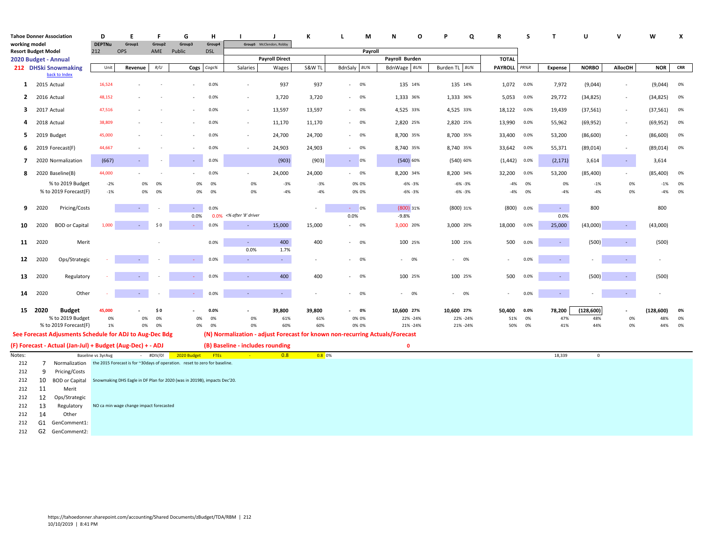|                                                    |             | <b>Tahoe Donner Association</b>                                                          | D                  | E                                       | F           | G                                                                        | н           |                                  |                         | К        | м<br>L                                                                       | N<br>O         | Q                | R              | S    | $\mathbf{T}$        | U            | $\mathbf v$              | W          | X          |
|----------------------------------------------------|-------------|------------------------------------------------------------------------------------------|--------------------|-----------------------------------------|-------------|--------------------------------------------------------------------------|-------------|----------------------------------|-------------------------|----------|------------------------------------------------------------------------------|----------------|------------------|----------------|------|---------------------|--------------|--------------------------|------------|------------|
| working model                                      |             |                                                                                          | <b>DEPTNu</b>      | Group1                                  | Group2      | Group3                                                                   | Group4      |                                  | Group5 McClendon, Robby |          |                                                                              |                |                  |                |      |                     |              |                          |            |            |
| <b>Resort Budget Model</b><br>2020 Budget - Annual |             |                                                                                          | 212                | <b>OPS</b>                              | AME         | Public                                                                   | <b>DSL</b>  |                                  | <b>Payroll Direct</b>   |          | Payroll                                                                      | Payroll Burden |                  | <b>TOTAL</b>   |      |                     |              |                          |            |            |
|                                                    |             | 212 DHSki Snowmaking                                                                     | Unit               | Revenue                                 | R/U         | Cogs                                                                     | Cogs%       | Salaries                         | Wages                   | S&W TL   | BdnSaly BU%                                                                  | BdnWage BU%    | Burden TL<br>BU% | <b>PAYROLL</b> | PR%R | <b>Expense</b>      | <b>NORBO</b> | <b>AllocOH</b>           | <b>NOR</b> | <b>CRR</b> |
|                                                    |             | back to Index                                                                            |                    |                                         |             |                                                                          |             |                                  |                         |          |                                                                              |                |                  |                |      |                     |              |                          |            |            |
| $\mathbf{1}$                                       | 2015 Actual |                                                                                          | 16,524             | ٠                                       |             |                                                                          | 0.0%        | $\sim$                           | 937                     | 937      | $- 0\%$                                                                      | 135 14%        | 135 14%          | 1,072 0.0%     |      | 7,972               | (9,044)      | $\overline{\phantom{a}}$ | (9,044)    | 0%         |
| $\overline{2}$                                     | 2016 Actual |                                                                                          | 48,152             |                                         |             |                                                                          | 0.0%        | $\overline{\phantom{a}}$         | 3,720                   | 3,720    | 0%                                                                           | 1,333 36%      | 1,333 36%        | 5,053          | 0.0% | 29,772              | (34, 825)    | ÷,                       | (34, 825)  | 0%         |
| 3                                                  | 2017 Actual |                                                                                          | 47,516             |                                         |             |                                                                          | 0.0%        | $\sim$                           | 13,597                  | 13,597   | 0%<br>$\sim$                                                                 | 4,525 33%      | 4,525 33%        | 18,122         | 0.0% | 19,439              | (37, 561)    | $\sim$                   | (37, 561)  | 0%         |
| 4                                                  | 2018 Actual |                                                                                          | 38,809             |                                         |             |                                                                          | 0.0%        | $\sim$                           | 11,170                  | 11,170   | 0%<br>$\sim$                                                                 | 2,820 25%      | 2,820 25%        | 13,990         | 0.0% | 55,962              | (69, 952)    | $\overline{\phantom{a}}$ | (69, 952)  | 0%         |
| 5.                                                 |             | 2019 Budget                                                                              | 45,000             |                                         |             |                                                                          | 0.0%        | $\sim$                           | 24,700                  | 24,700   | 0%<br>$\sim$                                                                 | 8,700 35%      | 8,700 35%        | 33,400         | 0.0% | 53,200              | (86, 600)    | $\overline{\phantom{a}}$ | (86,600)   | 0%         |
| 6                                                  |             | 2019 Forecast(F)                                                                         | 44,667             |                                         |             |                                                                          | 0.0%        | $\sim$                           | 24,903                  | 24,903   | 0%<br>$\sim$                                                                 | 8,740 35%      | 8,740 35%        | 33,642         | 0.0% | 55,371              | (89, 014)    | $\overline{\phantom{a}}$ | (89, 014)  | 0%         |
| $\overline{\phantom{a}}$                           |             | 2020 Normalization                                                                       | (667)              | $\omega$                                |             | $\sim$                                                                   | 0.0%        |                                  | (903)                   | (903)    | 0%<br>$\sim$                                                                 | (540) 60%      | (540) 60%        | (1, 442)       | 0.0% | (2, 171)            | 3,614        | $\sim$                   | 3,614      |            |
| 8                                                  |             | 2020 Baseline(B)                                                                         | 44,000             |                                         |             |                                                                          | 0.0%        | $\sim$                           | 24,000                  | 24,000   | 0%<br>$\sim$                                                                 | 8,200 34%      | 8,200 34%        | 32,200         | 0.0% | 53,200              | (85, 400)    |                          | (85, 400)  | 0%         |
|                                                    |             | % to 2019 Budget                                                                         | $-2%$              | 0%                                      | 0%          | 0%                                                                       | 0%          | 0%                               | $-3%$                   | $-3%$    | 0% 0%                                                                        | $-6\% -3\%$    | $-6\% -3\%$      | $-4%$          | 0%   | 0%                  | $-1%$        | 0%                       | $-1%$      | 0%         |
|                                                    |             | % to 2019 Forecast(F)                                                                    | $-1%$              | 0%                                      | 0%          | 0%                                                                       | 0%          | 0%                               | $-4%$                   | $-4%$    | 0% 0%                                                                        | $-6\% -3\%$    | $-6\% -3\%$      | $-4%$          | 0%   | $-4%$               | $-4%$        | 0%                       | $-4%$      | 0%         |
| 9                                                  | 2020        | Pricing/Costs                                                                            |                    | $\sim$                                  |             |                                                                          | 0.0%        |                                  |                         |          | 0%                                                                           | $(800)$ 31%    | (800) 31%        | (800)          | 0.0% | $\sim$              | 800          |                          | 800        |            |
|                                                    |             |                                                                                          |                    |                                         |             | 0.0%                                                                     |             | 0.0% <% after '8' driver         |                         |          | 0.0%                                                                         | $-9.8%$        |                  |                |      | 0.0%                |              |                          |            |            |
| 10                                                 | 2020        | <b>BOD</b> or Capital                                                                    | 1,000              | $\sim$                                  | \$0         |                                                                          | 0.0%        | $\sim$                           | 15,000                  | 15,000   | $- 0\%$                                                                      | 3,000 20%      | 3,000 20%        | 18,000         | 0.0% | 25,000              | (43,000)     | ÷.                       | (43,000)   |            |
| 11                                                 | 2020        | Merit                                                                                    |                    |                                         |             |                                                                          | 0.0%        | $\sim$                           | 400                     | 400      | $- 0\%$                                                                      | 100 25%        | 100 25%          | 500            | 0.0% | $\omega_{\rm{eff}}$ | (500)        | $\omega$                 | (500)      |            |
|                                                    |             |                                                                                          |                    |                                         |             |                                                                          |             | 0.0%                             | 1.7%                    |          |                                                                              |                |                  |                |      |                     |              |                          |            |            |
| 12                                                 | 2020        | Ops/Strategic                                                                            |                    |                                         |             | $\sim$                                                                   | 0.0%        | $\sim$                           | $\omega_{\rm{eff}}$     | $\sim$   | 0%                                                                           | $- 0\%$        | $- 0\%$          |                | 0.0% | $\sim$              |              | ÷.                       |            |            |
| 13                                                 | 2020        | Regulatory                                                                               |                    |                                         |             |                                                                          | 0.0%        | $\sim$                           | 400                     | 400      | 0%                                                                           | 100 25%        | 100 25%          | 500            | 0.0% | $\sim$              | (500)        | $\omega$                 | (500)      |            |
| 14                                                 | 2020        | Other                                                                                    |                    | $\omega_{\rm c}$                        |             | $\omega_{\rm c}$                                                         | 0.0%        | $\sim$                           | $\omega_{\rm{eff}}$     |          | 0%<br>$\sim$                                                                 | $- 0\%$        | $- 0\%$          |                | 0.0% | $\sim$              |              | $\sim$                   |            |            |
|                                                    |             |                                                                                          |                    |                                         |             |                                                                          |             |                                  |                         |          |                                                                              |                |                  |                |      |                     |              |                          |            |            |
|                                                    | 15 2020     | <b>Budget</b>                                                                            | 45,000             |                                         | \$0         |                                                                          | 0.0%        | $\blacksquare$                   | 39,800                  | 39,800   | 0%                                                                           | 10,600 27%     | 10,600 27%       | 50,400         | 0.0% | 78,200              | (128, 600)   | ÷,                       | (128, 600) | 0%         |
|                                                    |             | % to 2019 Budget                                                                         | 0%                 | 0%                                      | 0%          | 0%                                                                       | 0%          | 0%                               | 61%                     | 61%      | 0% 0%                                                                        | 22% -24%       | 22% -24%         | 51%            | 0%   | 47%                 | 48%          | 0%                       | 48%        | 0%         |
|                                                    |             | % to 2019 Forecast(F)                                                                    | 1%                 | 0%                                      | 0%          | 0%                                                                       | 0%          | 0%                               | 60%                     | 60%      | 0% 0%                                                                        | 21% -24%       | 21% -24%         | 50%            | 0%   | 41%                 | 44%          | 0%                       | 44%        | 0%         |
|                                                    |             | See Forecast Adjusments Schedule for ADJ to Aug-Dec Bdg                                  |                    |                                         |             |                                                                          |             |                                  |                         |          | (N) Normalization - adjust Forecast for known non-recurring Actuals/Forecast |                |                  |                |      |                     |              |                          |            |            |
|                                                    |             | (F) Forecast - Actual (Jan-Jul) + Budget (Aug-Dec) + - ADJ                               |                    |                                         |             |                                                                          |             | (B) Baseline - includes rounding |                         |          |                                                                              | $\mathbf{0}$   |                  |                |      |                     |              |                          |            |            |
| Notes:<br>212                                      |             | Normalization the 2015 Forecast is for ~30days of operation. reset to zero for baseline. | Baseline vs 3yrAvg |                                         | $+$ #DIV/0! | 2020 Budget                                                              | <b>FTEs</b> | $\sim 10^{-1}$                   | 0.8                     | $0.8$ 0% |                                                                              |                |                  |                |      | 18,339              | $\mathbf 0$  |                          |            |            |
| 212                                                | 7<br>9      | Pricing/Costs                                                                            |                    |                                         |             |                                                                          |             |                                  |                         |          |                                                                              |                |                  |                |      |                     |              |                          |            |            |
| 212                                                | 10          | <b>BOD or Capital</b>                                                                    |                    |                                         |             | Snowmaking DHS Eagle in DF Plan for 2020 (was in 2019B), impacts Dec'20. |             |                                  |                         |          |                                                                              |                |                  |                |      |                     |              |                          |            |            |
| 212                                                | 11          | Merit                                                                                    |                    |                                         |             |                                                                          |             |                                  |                         |          |                                                                              |                |                  |                |      |                     |              |                          |            |            |
| 212                                                | 12          | Ops/Strategic                                                                            |                    |                                         |             |                                                                          |             |                                  |                         |          |                                                                              |                |                  |                |      |                     |              |                          |            |            |
| 212                                                | 13          | Regulatory                                                                               |                    | NO ca min wage change impact forecasted |             |                                                                          |             |                                  |                         |          |                                                                              |                |                  |                |      |                     |              |                          |            |            |
| 212                                                | 14          | Other                                                                                    |                    |                                         |             |                                                                          |             |                                  |                         |          |                                                                              |                |                  |                |      |                     |              |                          |            |            |
| 212                                                |             | G1 GenComment1:                                                                          |                    |                                         |             |                                                                          |             |                                  |                         |          |                                                                              |                |                  |                |      |                     |              |                          |            |            |
| 212                                                |             | G2 GenComment2:                                                                          |                    |                                         |             |                                                                          |             |                                  |                         |          |                                                                              |                |                  |                |      |                     |              |                          |            |            |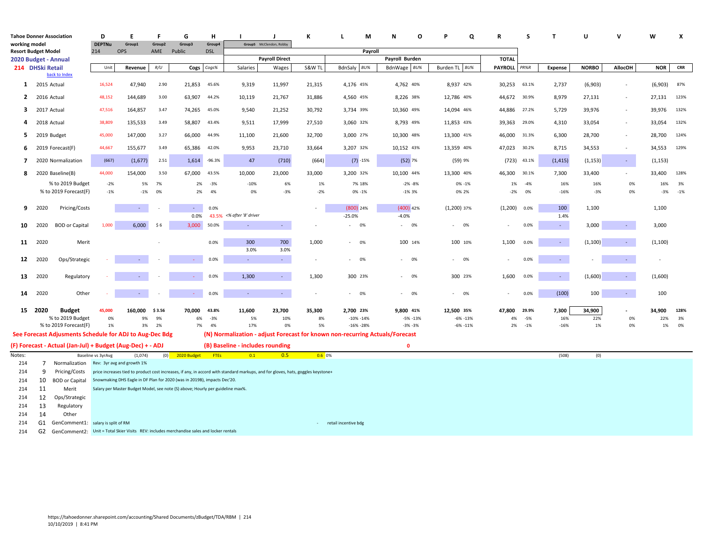|                            | <b>Tahoe Donner Association</b><br>working model |                                                            |                      | E                                                                                                                    | F             | G                 | н                    |                                                                                                                                  | -1                          | К               | -L                       | М       | N                       | O | Q                     | R               | S              | $\mathbf{T}$      | U                  |                                    | W                  | X          |
|----------------------------|--------------------------------------------------|------------------------------------------------------------|----------------------|----------------------------------------------------------------------------------------------------------------------|---------------|-------------------|----------------------|----------------------------------------------------------------------------------------------------------------------------------|-----------------------------|-----------------|--------------------------|---------|-------------------------|---|-----------------------|-----------------|----------------|-------------------|--------------------|------------------------------------|--------------------|------------|
|                            |                                                  |                                                            | <b>DEPTNu</b><br>214 | Group1<br><b>OPS</b>                                                                                                 | Group2<br>AME | Group3<br>Public  | Group4<br><b>DSL</b> |                                                                                                                                  | Group5 McClendon, Robby     |                 |                          | Pavroll |                         |   |                       |                 |                |                   |                    |                                    |                    |            |
| <b>Resort Budget Model</b> |                                                  |                                                            |                      |                                                                                                                      |               |                   |                      |                                                                                                                                  | <b>Payroll Direct</b>       |                 |                          |         | Payroll Burden          |   |                       | <b>TOTAL</b>    |                |                   |                    |                                    |                    |            |
| 2020 Budget - Annual       | 214 DHSki Retail                                 |                                                            | Unit                 | Revenue                                                                                                              | R/U           | Cogs              | Cogs%                | Salaries                                                                                                                         | Wages                       | S&W TL          | BdnSaly                  | BU%     | BdnWage BU%             |   | Burden TL BU%         | PAYROLL PR%R    |                | <b>Expense</b>    | <b>NORBO</b>       | <b>AllocOH</b>                     | <b>NOR</b>         | <b>CRR</b> |
|                            |                                                  | back to Index                                              |                      |                                                                                                                      |               |                   |                      |                                                                                                                                  |                             |                 |                          |         |                         |   |                       |                 |                |                   |                    |                                    |                    |            |
| $\mathbf{1}$               | 2015 Actual                                      |                                                            | 16,524               | 47,940                                                                                                               | 2.90          | 21,853            | 45.6%                | 9,319                                                                                                                            | 11,997                      | 21,315          | 4,176 45%                |         | 4,762 40%               |   | 8,937 42%             | 30,253          | 63.1%          | 2,737             | (6,903)            | $\overline{\phantom{a}}$           | (6,903)            | 87%        |
| $\overline{2}$             | 2016 Actual                                      |                                                            | 48,152               | 144,689                                                                                                              | 3.00          | 63,907            | 44.2%                | 10,119                                                                                                                           | 21,767                      | 31,886          | 4,560 45%                |         | 8,226 38%               |   | 12,786 40%            | 44,672          | 30.9%          | 8,979             | 27,131             | $\overline{\phantom{a}}$           | 27,131             | 123%       |
| 3                          | 2017 Actual                                      |                                                            | 47,516               | 164,857                                                                                                              | 3.47          | 74,265            | 45.0%                | 9,540                                                                                                                            | 21,252                      | 30,792          | 3,734 39%                |         | 10,360 49%              |   | 14,094 46%            | 44,886          | 27.2%          | 5,729             | 39,976             | $\sim$                             | 39,976             | 132%       |
| 4                          | 2018 Actual                                      |                                                            | 38,809               | 135,533                                                                                                              | 3.49          | 58,807            | 43.4%                | 9,511                                                                                                                            | 17,999                      | 27,510          | 3,060 32%                |         | 8,793 49%               |   | 11,853 43%            | 39,363          | 29.0%          | 4,310             | 33,054             | $\sim$                             | 33,054             | 132%       |
| 5                          |                                                  | 2019 Budget                                                | 45,000               | 147,000                                                                                                              | 3.27          | 66,000            | 44.9%                | 11,100                                                                                                                           | 21,600                      | 32,700          | 3,000 27%                |         | 10,300 48%              |   | 13,300 41%            | 46,000          | 31.3%          | 6,300             | 28,700             | $\overline{\phantom{a}}$           | 28,700             | 124%       |
| 6<br>$\overline{7}$        |                                                  | 2019 Forecast(F)<br>2020 Normalization                     | 44,667<br>(667)      | 155,677<br>(1,677)                                                                                                   | 3.49<br>2.51  | 65,386<br>1,614   | 42.0%<br>$-96.3%$    | 9,953<br>47                                                                                                                      | 23,710<br>(710)             | 33,664<br>(664) | 3,207 32%<br>$(7) - 15%$ |         | 10,152 43%<br>$(52)$ 7% |   | 13,359 40%<br>(59) 9% | 47,023<br>(723) | 30.2%<br>43.1% | 8,715<br>(1, 415) | 34,553<br>(1, 153) | $\overline{\phantom{a}}$<br>$\sim$ | 34,553<br>(1, 153) | 129%       |
| 8                          |                                                  | 2020 Baseline(B)                                           | 44,000               | 154,000                                                                                                              | 3.50          | 67,000 43.5%      |                      | 10,000                                                                                                                           | 23,000                      | 33,000          | 3,200 32%                |         | 10,100 44%              |   | 13,300 40%            | 46,300          | 30.1%          | 7,300             | 33,400             | $\overline{\phantom{a}}$           | 33,400             | 128%       |
|                            |                                                  | % to 2019 Budget                                           | $-2%$                | 5%                                                                                                                   | - 7%          | 2%                | $-3%$                | $-10%$                                                                                                                           | 6%                          | 1%              | 7% 18%                   |         | $-2\% -8\%$             |   | 0% -1%                | 1%              | $-4%$          | 16%               | 16%                | 0%                                 | 16%                | 3%         |
|                            |                                                  | % to 2019 Forecast(F)                                      | $-1%$                | $-1%$                                                                                                                | 0%            | 2%                | 4%                   | 0%                                                                                                                               | $-3%$                       | $-2%$           | 0% -1%                   |         | $-1\%3\%$               |   | 0% 2%                 | $-2%$           | 0%             | $-16%$            | $-3%$              | 0%                                 | $-3%$              | $-1%$      |
| 9                          | 2020                                             | Pricing/Costs                                              |                      | $\sim$                                                                                                               |               | ä,<br>0.0%        | 0.0%                 | 43.5% <% after '8' driver                                                                                                        |                             | $\sim$          | (800) 24%<br>$-25.0%$    |         | $(400)$ 42%<br>$-4.0%$  |   | $(1,200)$ 37%         | (1,200)         | 0.0%           | 100<br>1.4%       | 1,100              |                                    | 1,100              |            |
| 10                         | 2020                                             | <b>BOD</b> or Capital                                      | 1,000                | 6,000                                                                                                                | \$6           | 3,000             | 50.0%                | $\sim$                                                                                                                           | $\sim$                      |                 | 0%<br>٠                  |         | 0%<br>$\sim 100$        |   | $- 0\%$               |                 | 0.0%           | $\sim$            | 3,000              | $\sim$                             | 3,000              |            |
| 11                         | 2020                                             | Merit                                                      |                      |                                                                                                                      |               |                   | 0.0%                 | 300                                                                                                                              | 700                         | 1,000           | 0%<br>÷.                 |         | 100 14%                 |   | 100 10%               | 1,100           | 0.0%           | $\sim$            | (1, 100)           | $\sim$                             | (1, 100)           |            |
| 12                         | 2020                                             | Ops/Strategic                                              |                      |                                                                                                                      |               |                   | 0.0%                 | 3.0%<br>$\sim$                                                                                                                   | 3.0%<br>$\omega_{\rm{eff}}$ | $\sim$          | 0%<br>$\sim$             |         | 0%                      |   | $- 0\%$               |                 | 0.0%           | $\sim$            |                    | ٠                                  | $\sim$             |            |
|                            |                                                  |                                                            |                      |                                                                                                                      |               |                   |                      |                                                                                                                                  |                             |                 |                          |         |                         |   |                       |                 |                |                   |                    |                                    |                    |            |
| 13                         | 2020                                             | Regulatory                                                 |                      |                                                                                                                      |               |                   | 0.0%                 | 1,300                                                                                                                            | $\sim 10$                   | 1,300           | 300 23%                  |         | 0%<br>$\sim$            |   | 300 23%               | 1,600           | 0.0%           | $\sim$            | (1,600)            | $\sim$                             | (1,600)            |            |
| 14                         | 2020                                             | Other                                                      |                      | $\omega_{\rm{eff}}$                                                                                                  |               | $\omega$ .        | 0.0%                 | $\sim$                                                                                                                           | $\sim$                      | $\sim$          | 0%<br>$\sim$             |         | 0%<br>$\sim$            |   | $- 0\%$               |                 | 0.0%           | (100)             | 100                | $\sim$                             | 100                |            |
|                            | 15 2020                                          | <b>Budget</b>                                              | 45,000               | 160,000                                                                                                              | \$3.56        | 70.000            | 43.8%                | 11,600                                                                                                                           | 23,700                      | 35,300          | 2.700 23%                |         | 9,800 41%               |   | 12,500 35%            | 47.800          | 29.9%          | 7,300             | 34,900             | ä,                                 | 34.900             | 128%       |
|                            |                                                  | % to 2019 Budget                                           | 0%                   | 9%                                                                                                                   | 9%            | 6%                | $-3%$                | 5%                                                                                                                               | 10%                         | 8%              | $-10\% -14\%$            |         | $-5% -13%$              |   | $-6\% -13\%$          | 4%              | $-5%$          | 16%               | 22%                | 0%                                 | 22%                | 3%         |
|                            |                                                  | % to 2019 Forecast(F)                                      | 1%                   | 3%                                                                                                                   | 2%            | 7%                | 4%                   | 17%                                                                                                                              | 0%                          | 5%              | $-16\% -28\%$            |         | $-3% -3%$               |   | $-6\% -11\%$          | 2%              | $-1%$          | $-16%$            | 1%                 | 0%                                 | 1%                 | 0%         |
|                            |                                                  | See Forecast Adjusments Schedule for ADJ to Aug-Dec Bdg    |                      |                                                                                                                      |               |                   |                      | (N) Normalization - adjust Forecast for known non-recurring Actuals/Forecast                                                     |                             |                 |                          |         |                         |   |                       |                 |                |                   |                    |                                    |                    |            |
|                            |                                                  | (F) Forecast - Actual (Jan-Jul) + Budget (Aug-Dec) + - ADJ |                      |                                                                                                                      |               |                   |                      | (B) Baseline - includes rounding                                                                                                 |                             |                 |                          |         | $\Omega$                |   |                       |                 |                |                   |                    |                                    |                    |            |
| Notes:                     |                                                  |                                                            | Baseline vs 3yrAvg   | (1,074)                                                                                                              |               | $(0)$ 2020 Budget | <b>FTEs</b>          | 0.1                                                                                                                              | 0.5                         | 0.60%           |                          |         |                         |   |                       |                 |                | (508)             | (0)                |                                    |                    |            |
| 214                        | $7^{\circ}$                                      | Normalization Rev: 3yr avg and growth 1%                   |                      |                                                                                                                      |               |                   |                      |                                                                                                                                  |                             |                 |                          |         |                         |   |                       |                 |                |                   |                    |                                    |                    |            |
| 214                        | 9                                                | Pricing/Costs                                              |                      |                                                                                                                      |               |                   |                      | price increases tied to product cost increases, if any, in accord with standard markups, and for gloves, hats, goggles keystone+ |                             |                 |                          |         |                         |   |                       |                 |                |                   |                    |                                    |                    |            |
| 214                        | 10                                               | <b>BOD</b> or Capital                                      |                      | Snowmaking DHS Eagle in DF Plan for 2020 (was in 2019B), impacts Dec'20.                                             |               |                   |                      |                                                                                                                                  |                             |                 |                          |         |                         |   |                       |                 |                |                   |                    |                                    |                    |            |
| 214                        | 11                                               | Merit                                                      |                      | Salary per Master Budget Model, see note (S) above; Hourly per guideline max%.                                       |               |                   |                      |                                                                                                                                  |                             |                 |                          |         |                         |   |                       |                 |                |                   |                    |                                    |                    |            |
| 214                        | 12                                               | Ops/Strategic                                              |                      |                                                                                                                      |               |                   |                      |                                                                                                                                  |                             |                 |                          |         |                         |   |                       |                 |                |                   |                    |                                    |                    |            |
| 214                        | 13                                               | Regulatory                                                 |                      |                                                                                                                      |               |                   |                      |                                                                                                                                  |                             |                 |                          |         |                         |   |                       |                 |                |                   |                    |                                    |                    |            |
| 214                        | 14                                               | Other                                                      |                      |                                                                                                                      |               |                   |                      |                                                                                                                                  |                             |                 |                          |         |                         |   |                       |                 |                |                   |                    |                                    |                    |            |
| 214                        |                                                  | G1 GenComment1: salary is split of RM                      |                      |                                                                                                                      |               |                   |                      |                                                                                                                                  |                             | $\sim$          |                          |         |                         |   |                       |                 |                |                   |                    |                                    |                    |            |
| 214                        |                                                  |                                                            |                      | retail incentive bdg<br>G2 GenComment2: Unit = Total Skier Visits REV: includes merchandise sales and locker rentals |               |                   |                      |                                                                                                                                  |                             |                 |                          |         |                         |   |                       |                 |                |                   |                    |                                    |                    |            |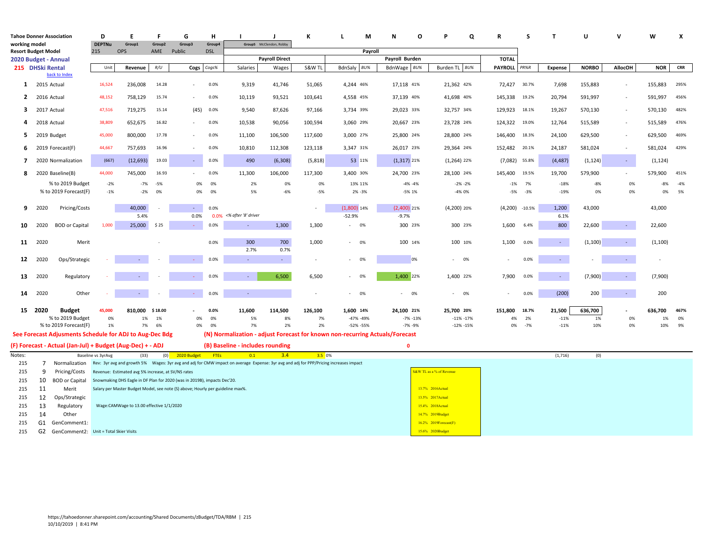|                                                    |                  | <b>Tahoe Donner Association</b>                            | D                  | E                                                  | F       | G                                                                              | н           |                                                                                                                                                     |                         | к                        | М<br>L                                                                       | N              | O  | Q                        | R               | S        | $\mathbf{T}$   | U            | $\mathbf{v}$             | W          | X          |
|----------------------------------------------------|------------------|------------------------------------------------------------|--------------------|----------------------------------------------------|---------|--------------------------------------------------------------------------------|-------------|-----------------------------------------------------------------------------------------------------------------------------------------------------|-------------------------|--------------------------|------------------------------------------------------------------------------|----------------|----|--------------------------|-----------------|----------|----------------|--------------|--------------------------|------------|------------|
| working model                                      |                  |                                                            | <b>DEPTNu</b>      | Group1                                             | Group2  | Group3                                                                         | Group4      |                                                                                                                                                     | Group5 McClendon, Robby |                          |                                                                              |                |    |                          |                 |          |                |              |                          |            |            |
| <b>Resort Budget Model</b><br>2020 Budget - Annual |                  |                                                            | 215                | OPS                                                | AME     | Public                                                                         | <b>DSL</b>  |                                                                                                                                                     | <b>Payroll Direct</b>   |                          | Payroll                                                                      | Payroll Burden |    |                          | <b>TOTAL</b>    |          |                |              |                          |            |            |
|                                                    | 215 DHSki Rental |                                                            | Unit               | Revenue                                            | R/U     | <b>Cogs</b>                                                                    | Cogs%       | Salaries                                                                                                                                            | Wages                   | S&W TL                   | BdnSaly BU%                                                                  | BdnWage BU%    |    | Burden TL<br>BU%         | <b>PAYROLL</b>  | PR%R     | <b>Expense</b> | <b>NORBO</b> | <b>AllocOH</b>           | <b>NOR</b> | <b>CRR</b> |
|                                                    |                  | back to Index                                              |                    |                                                    |         |                                                                                |             |                                                                                                                                                     |                         |                          |                                                                              |                |    |                          |                 |          |                |              |                          |            |            |
| $\mathbf{1}$                                       | 2015 Actual      |                                                            | 16,524             | 236,008                                            | 14.28   |                                                                                | 0.0%        | 9,319                                                                                                                                               | 41,746                  | 51,065                   | 4.244 46%                                                                    | 17,118 41%     |    | 21.362 42%               | 72,427 30.7%    |          | 7,698          | 155,883      | $\sim$                   | 155,883    | 295%       |
| $\mathbf{2}$                                       | 2016 Actual      |                                                            | 48,152             | 758,129                                            | 15.74   |                                                                                | 0.0%        | 10,119                                                                                                                                              | 93,521                  | 103,641                  | 4,558 45%                                                                    | 37,139 40%     |    | 41,698 40%               | 145,338 19.2%   |          | 20,794         | 591,997      | $\sim$                   | 591,997    | 456%       |
| 3                                                  | 2017 Actual      |                                                            | 47,516             | 719,275                                            | 15.14   | (45)                                                                           | 0.0%        | 9,540                                                                                                                                               | 87,626                  | 97,166                   | 3,734 39%                                                                    | 29,023 33%     |    | 32,757 34%               | 129,923 18.1%   |          | 19,267         | 570,130      | $\sim$                   | 570,130    | 482%       |
| 4                                                  | 2018 Actual      |                                                            | 38,809             | 652,675                                            | 16.82   | $\sim$                                                                         | 0.0%        | 10,538                                                                                                                                              | 90,056                  | 100,594                  | 3,060 29%                                                                    | 20,667 23%     |    | 23,728 24%               | 124,322 19.0%   |          | 12,764         | 515,589      | $\overline{\phantom{a}}$ | 515,589    | 476%       |
| 5                                                  |                  | 2019 Budget                                                | 45,000             | 800,000                                            | 17.78   |                                                                                | 0.0%        | 11,100                                                                                                                                              | 106,500                 | 117,600                  | 3,000 27%                                                                    | 25,800 24%     |    | 28,800 24%               | 146,400 18.3%   |          | 24,100         | 629,500      | $\sim$                   | 629,500    | 469%       |
| 6                                                  |                  | 2019 Forecast(F)                                           | 44,667             | 757,693                                            | 16.96   |                                                                                | 0.0%        | 10,810                                                                                                                                              | 112,308                 | 123,118                  | 3,347 31%                                                                    | 26,017 23%     |    | 29,364 24%               | 152,482 20.1%   |          | 24,187         | 581,024      | $\overline{\phantom{a}}$ | 581,024    | 429%       |
| $\overline{7}$                                     |                  | 2020 Normalization                                         | (667)              | (12, 693)                                          | 19.03   | $\sim$                                                                         | 0.0%        | 490                                                                                                                                                 | (6,308)                 | (5,818)                  | 53 11%                                                                       | $(1,317)$ 21%  |    | $(1,264)$ 22%            | $(7,082)$ 55.8% |          | (4, 487)       | (1, 124)     | $\sim$                   | (1, 124)   |            |
| 8                                                  |                  | 2020 Baseline(B)                                           | 44,000             | 745,000                                            | 16.93   |                                                                                | 0.0%        | 11,300                                                                                                                                              | 106,000                 | 117,300                  | 3,400 30%                                                                    | 24,700 23%     |    | 28,100 24%               | 145,400 19.5%   |          | 19,700         | 579,900      | ä,                       | 579,900    | 451%       |
|                                                    |                  | % to 2019 Budget                                           | $-2%$              | $-7%$                                              | $-5%$   | 0%                                                                             | 0%          | 2%                                                                                                                                                  | 0%                      | 0%                       | 13% 11%                                                                      | $-4\% -4\%$    |    | $-2\% -2\%$              | $-1%$           | 7%       | $-18%$         | $-8%$        | 0%                       | $-8%$      | -4%        |
|                                                    |                  | % to 2019 Forecast(F)                                      | $-1%$              | $-2%$                                              | 0%      | 0%                                                                             | 0%          | 5%                                                                                                                                                  | $-6%$                   | $-5%$                    | 2% -3%                                                                       | $-5%1%$        |    | -4% 0%                   | $-5%$           | $-3%$    | $-19%$         | 0%           | 0%                       | 0%         | 5%         |
| 9                                                  | 2020             | Pricing/Costs                                              |                    | 40,000                                             |         |                                                                                | 0.0%        |                                                                                                                                                     |                         | $\overline{\phantom{a}}$ | $(1,800)$ 14%                                                                | $(2,400)$ 21%  |    | $(4,200)$ 20%            | (4,200)         | $-10.5%$ | 1,200          | 43,000       |                          | 43,000     |            |
|                                                    |                  |                                                            |                    | 5.4%                                               |         | 0.0%                                                                           |             | 0.0% <% after '8' driver                                                                                                                            |                         |                          | $-52.9%$                                                                     | $-9.7%$        |    |                          |                 |          | 6.1%           |              |                          |            |            |
| 10                                                 | 2020             | <b>BOD</b> or Capital                                      | 1,000              | 25,000                                             | \$25    | in 19                                                                          | 0.0%        | $\sim$                                                                                                                                              | 1,300                   | 1,300                    | 0%<br>$\sim$                                                                 | 300 23%        |    | 300 23%                  | 1,600           | 6.4%     | 800            | 22,600       | $\sim$                   | 22,600     |            |
| 11                                                 | 2020             | Merit                                                      |                    |                                                    |         |                                                                                | 0.0%        | 300<br>2.7%                                                                                                                                         | 700<br>0.7%             | 1,000                    | 0%<br>$\sim$                                                                 | 100 14%        |    | 100 10%                  | 1,100           | 0.0%     | $\sim$         | (1,100)      |                          | (1,100)    |            |
| 12                                                 | 2020             | Ops/Strategic                                              |                    |                                                    |         | $\sim$                                                                         | 0.0%        | $\sim$                                                                                                                                              | $\omega_{\rm{eff}}$     |                          | 0%                                                                           |                | 0% | $- 0\%$                  |                 | 0.0%     | $\omega$       |              |                          |            |            |
| 13                                                 | 2020             | Regulatory                                                 |                    |                                                    |         |                                                                                | 0.0%        | $\sim$                                                                                                                                              | 6,500                   | 6,500                    | 0%                                                                           | 1,400 22%      |    | 1,400 22%                | 7,900           | 0.0%     | $\sim$         | (7,900)      | ÷.                       | (7,900)    |            |
| 14                                                 | 2020             | Other                                                      |                    | ÷.                                                 |         | Ser.                                                                           | 0.0%        |                                                                                                                                                     |                         |                          | 0%<br>$\sim$                                                                 | $\sim$         | 0% | $-0\%$                   |                 | 0.0%     | (200)          | 200          | $\sim$                   | 200        |            |
|                                                    | 15 2020          | <b>Budget</b>                                              | 45,000             | 810,000                                            | \$18.00 |                                                                                | 0.0%        | 11,600                                                                                                                                              | 114,500                 | 126,100                  | 1,600 14%                                                                    | 24,100 21%     |    | 25,700 20%               | 151,800         | 18.7%    | 21,500         | 636,700      | ٠                        | 636,700    | 467%       |
|                                                    |                  | % to 2019 Budget                                           | 0%                 | 1%                                                 | 1%      | 0%                                                                             | 0%          | 5%                                                                                                                                                  | 8%                      | 7%                       | -47% -49%                                                                    | $-7\% -13\%$   |    | $-11\% -17\%$            | $4\%$           | 2%       | $-11%$         | 1%           | 0%                       | 1%         | 0%         |
|                                                    |                  | % to 2019 Forecast(F)                                      | 1%                 | 7%                                                 | 6%      | 0%                                                                             | 0%          | 7%                                                                                                                                                  | 2%                      | 2%                       | -52% -55%                                                                    | -7% -9%        |    | $-12\% -15\%$            | 0%              | $-7%$    | $-11%$         | 10%          | 0%                       | 10%        | 9%         |
|                                                    |                  | See Forecast Adjusments Schedule for ADJ to Aug-Dec Bdg    |                    |                                                    |         |                                                                                |             |                                                                                                                                                     |                         |                          | (N) Normalization - adjust Forecast for known non-recurring Actuals/Forecast |                |    |                          |                 |          |                |              |                          |            |            |
|                                                    |                  | (F) Forecast - Actual (Jan-Jul) + Budget (Aug-Dec) + - ADJ |                    |                                                    |         |                                                                                |             | (B) Baseline - includes rounding                                                                                                                    |                         |                          |                                                                              | $\mathbf{0}$   |    |                          |                 |          |                |              |                          |            |            |
| Notes:                                             |                  |                                                            | Baseline vs 3yrAvg | (33)                                               | (0)     | 2020 Budget                                                                    | <b>FTEs</b> | 0.1                                                                                                                                                 | 3.4                     | 3.5 0%                   |                                                                              |                |    |                          |                 |          | (1, 716)       | (0)          |                          |            |            |
| 215                                                | 7                |                                                            |                    |                                                    |         |                                                                                |             | Normalization Rev: 3yr avg and growth 5% Wages: 3yr avg and adj for CMW impact on average Expense: 3yr avg and adj for PPP/Pricing increases impact |                         |                          |                                                                              |                |    | S&W TL as a % of Revenue |                 |          |                |              |                          |            |            |
| 215                                                | 9                | Pricing/Costs                                              |                    | Revenue: Estimated avg 5% increase, at SV/NS rates |         |                                                                                |             |                                                                                                                                                     |                         |                          |                                                                              |                |    |                          |                 |          |                |              |                          |            |            |
| 215                                                | 10               | <b>BOD or Capital</b>                                      |                    |                                                    |         | Snowmaking DHS Eagle in DF Plan for 2020 (was in 2019B), impacts Dec'20.       |             |                                                                                                                                                     |                         |                          |                                                                              |                |    | 13.7% 2016Actual         |                 |          |                |              |                          |            |            |
| 215                                                | 11               | Merit                                                      |                    |                                                    |         | Salary per Master Budget Model, see note (S) above; Hourly per guideline max%. |             |                                                                                                                                                     |                         |                          |                                                                              |                |    | 13.5% 2017 Actual        |                 |          |                |              |                          |            |            |
| 215<br>215                                         | 12<br>13         | Ops/Strategic                                              |                    | Wage:CAMWage to 13.00 effective 1/1/2020           |         |                                                                                |             |                                                                                                                                                     |                         |                          |                                                                              |                |    | 15.4% 2018Actual         |                 |          |                |              |                          |            |            |
|                                                    |                  | Regulatory                                                 |                    |                                                    |         |                                                                                |             |                                                                                                                                                     |                         |                          |                                                                              |                |    | 14.7% 2019Budget         |                 |          |                |              |                          |            |            |
| 215<br>215                                         | 14               | Other<br>G1 GenComment1:                                   |                    |                                                    |         |                                                                                |             |                                                                                                                                                     |                         |                          |                                                                              |                |    | $16.2\%$ 2019Forecast(F) |                 |          |                |              |                          |            |            |
| 215                                                |                  | G2 GenComment2: Unit = Total Skier Visits                  |                    |                                                    |         |                                                                                |             |                                                                                                                                                     |                         |                          |                                                                              |                |    | 15.6% 2020Budget         |                 |          |                |              |                          |            |            |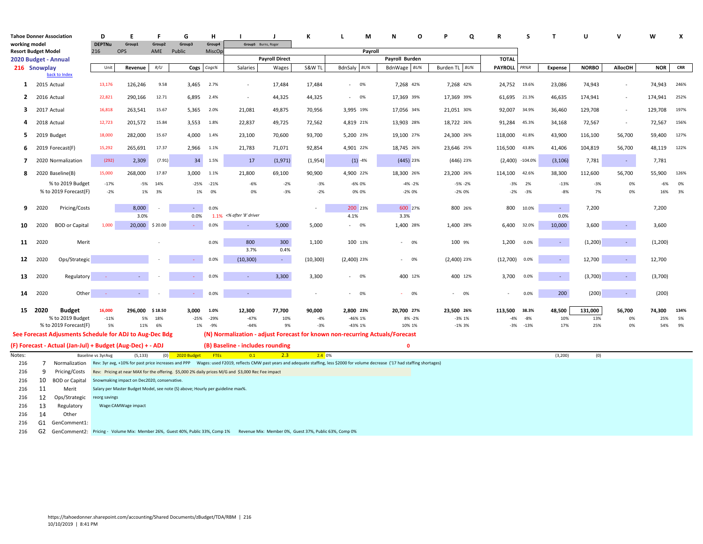| <b>Tahoe Donner Association</b>             |             |                                                            | D                    | F                                           | F             | G                                                                              | н                |                                                                                                                                         | $\mathbf{I}$          | к         | М<br>L                                                                                                                                                                                           | O<br>N            | Q             | $\mathbf R$         | s      | $\mathbf{T}$   | $\mathbf{U}$ | v                        | W          | X          |
|---------------------------------------------|-------------|------------------------------------------------------------|----------------------|---------------------------------------------|---------------|--------------------------------------------------------------------------------|------------------|-----------------------------------------------------------------------------------------------------------------------------------------|-----------------------|-----------|--------------------------------------------------------------------------------------------------------------------------------------------------------------------------------------------------|-------------------|---------------|---------------------|--------|----------------|--------------|--------------------------|------------|------------|
| working model<br><b>Resort Budget Model</b> |             |                                                            | <b>DEPTNu</b><br>216 | Group1<br><b>OPS</b>                        | Group2<br>AME | Group3<br>Public                                                               | Group4<br>MiscOp | Group5 Burns, Roger                                                                                                                     |                       |           | Payroll                                                                                                                                                                                          |                   |               |                     |        |                |              |                          |            |            |
| 2020 Budget - Annual                        |             |                                                            |                      |                                             |               |                                                                                |                  |                                                                                                                                         | <b>Payroll Direct</b> |           |                                                                                                                                                                                                  | Payroll Burden    |               | <b>TOTAL</b>        |        |                |              |                          |            |            |
| 216 Snowplay                                |             |                                                            | Unit                 | Revenue                                     | R/U           |                                                                                | Cogs Cogs%       | Salaries                                                                                                                                | Wages                 | S&W TL    | BU%<br>BdnSaly                                                                                                                                                                                   | BdnWage BU%       | Burden TL BU% | <b>PAYROLL</b> PR%R |        | <b>Expense</b> | <b>NORBO</b> | <b>AllocOH</b>           | <b>NOR</b> | <b>CRR</b> |
|                                             |             | back to Index                                              |                      |                                             |               |                                                                                |                  |                                                                                                                                         |                       |           |                                                                                                                                                                                                  |                   |               |                     |        |                |              |                          |            |            |
| $\mathbf{1}$                                | 2015 Actual |                                                            | 13,176               | 126,246                                     | 9.58          | 3.465                                                                          | 2.7%             | $\sim$                                                                                                                                  | 17,484                | 17,484    | 0%<br>$\sim$                                                                                                                                                                                     | 7,268 42%         | 7,268 42%     | 24,752 19.6%        |        | 23,086         | 74,943       | $\sim$                   | 74,943     | 246%       |
| $\mathbf{2}$                                | 2016 Actual |                                                            | 22,821               | 290,166                                     | 12.71         | 6,895                                                                          | 2.4%             | $\sim$                                                                                                                                  | 44,325                | 44,325    | 0%<br>$\sim$                                                                                                                                                                                     | 17,369 39%        | 17,369 39%    | 61,695 21.3%        |        | 46,635         | 174,941      | $\sim$                   | 174,941    | 252%       |
| 3                                           | 2017 Actual |                                                            | 16,818               | 263,541                                     | 15.67         | 5,365                                                                          | 2.0%             | 21,081                                                                                                                                  | 49,875                | 70,956    | 3,995 19%                                                                                                                                                                                        | 17,056 34%        | 21,051 30%    | 92,007              | 34.9%  | 36,460         | 129,708      | $\overline{\phantom{a}}$ | 129,708    | 197%       |
| 4                                           | 2018 Actual |                                                            | 12,723               | 201,572                                     | 15.84         | 3,553                                                                          | 1.8%             | 22,837                                                                                                                                  | 49,725                | 72,562    | 4,819 21%                                                                                                                                                                                        | 13,903 28%        | 18,722 26%    | 91,284              | 45.3%  | 34,168         | 72,567       | $\overline{\phantom{a}}$ | 72,567     | 156%       |
| 5                                           | 2019 Budget |                                                            | 18,000               | 282,000                                     | 15.67         | 4,000                                                                          | 1.4%             | 23,100                                                                                                                                  | 70,600                | 93,700    | 5,200 23%                                                                                                                                                                                        | 19,100 27%        | 24,300 26%    | 118,000             | 41.8%  | 43,900         | 116,100      | 56,700                   | 59,400     | 127%       |
| 6                                           |             | 2019 Forecast(F)                                           | 15,292               | 265,691                                     | 17.37         | 2,966                                                                          | 1.1%             | 21,783                                                                                                                                  | 71,071                | 92,854    | 4,901 22%                                                                                                                                                                                        | 18,745 26%        | 23,646 25%    | 116,500             | 43.8%  | 41,406         | 104,819      | 56,700                   | 48,119     | 122%       |
| 7                                           |             | 2020 Normalization                                         | (292)                | 2,309                                       | (7.91)        | 34                                                                             | 1.5%             | 17                                                                                                                                      | (1,971)               | (1,954)   | $(1) -4%$                                                                                                                                                                                        | $(445)$ 23%       | $(446)$ 23%   | $(2,400)$ -104.0%   |        | (3, 106)       | 7,781        | $\sim$                   | 7,781      |            |
| 8                                           |             | 2020 Baseline(B)                                           | 15,000               | 268,000                                     | 17.87         | 3,000                                                                          | 1.1%             | 21,800                                                                                                                                  | 69,100                | 90,900    | 4,900 22%                                                                                                                                                                                        | 18,300 26%        | 23,200 26%    | 114,100             | 42.6%  | 38,300         | 112,600      | 56,700                   | 55,900     | 126%       |
|                                             |             | % to 2019 Budget                                           | $-17%$               | $-5%$                                       | 14%           | $-25%$                                                                         | $-21%$           | $-6%$                                                                                                                                   | $-2%$                 | $-3%$     | -6% 0%                                                                                                                                                                                           | $-4\% -2\%$       | $-5% -2%$     | $-3%$               | 2%     | $-13%$         | $-3%$        | 0%                       | $-6%$      | 0%         |
|                                             |             | % to 2019 Forecast(F)                                      | $-2%$                | 1%                                          | 3%            | 1%                                                                             | 0%               | 0%                                                                                                                                      | $-3%$                 | $-2%$     | 0% 0%                                                                                                                                                                                            | $-2\%$ 0%         | $-2\%$ 0%     | $-2%$               | $-3%$  | $-8%$          | 7%           | 0%                       | 16%        | 3%         |
| 9                                           | 2020        | Pricing/Costs                                              |                      | 8.000                                       |               |                                                                                | 0.0%             |                                                                                                                                         |                       |           | 200 23%                                                                                                                                                                                          | 600 27%           | 800 26%       | 800                 | 10.0%  | $\sim$         | 7,200        |                          | 7,200      |            |
| 10                                          | 2020        | <b>BOD</b> or Capital                                      | 1,000                | 3.0%<br>20,000 \$20.00                      |               | 0.0%<br>A.                                                                     | 0.0%             | 1.1% <% after '8' driver<br>$\sim$                                                                                                      | 5,000                 | 5,000     | 4.1%<br>$- 0\%$                                                                                                                                                                                  | 3.3%<br>1,400 28% | 1,400 28%     | 6,400               | 32.0%  | 0.0%<br>10,000 | 3,600        | $\sim$                   | 3,600      |            |
|                                             |             |                                                            |                      |                                             |               |                                                                                |                  |                                                                                                                                         |                       |           |                                                                                                                                                                                                  |                   |               |                     |        |                |              |                          |            |            |
| 11                                          | 2020        | Merit                                                      |                      |                                             |               |                                                                                | 0.0%             | 800<br>3.7%                                                                                                                             | 300<br>0.4%           | 1,100     | 100 13%                                                                                                                                                                                          | $- 0\%$           | 100 9%        | 1,200               | 0.0%   | $\sim$         | (1, 200)     | $\sim$                   | (1, 200)   |            |
| 12                                          | 2020        | Ops/Strategic                                              |                      |                                             |               | car.                                                                           | 0.0%             | (10, 300)                                                                                                                               | $\sim$                | (10, 300) | $(2,400)$ 23%                                                                                                                                                                                    | $- 0\%$           | $(2,400)$ 23% | (12,700)            | 0.0%   | ◆              | 12,700       | $\sim$                   | 12,700     |            |
| 13                                          | 2020        | Regulatory                                                 |                      |                                             |               |                                                                                | 0.0%             |                                                                                                                                         | 3,300                 | 3,300     | 0%<br>$\sim$                                                                                                                                                                                     | 400 12%           | 400 12%       | 3,700               | 0.0%   | $\sim$         | (3,700)      | $\sim$                   | (3,700)    |            |
| 14                                          | 2020        | Other                                                      |                      | $\sim$                                      |               | $\sim$                                                                         | 0.0%             | $\sim$                                                                                                                                  |                       |           | 0%<br>$\sim$                                                                                                                                                                                     | 0%<br>$\sim$      | $- 0\%$       | ٠                   | 0.0%   | 200            | (200)        | $\sim$                   | (200)      |            |
|                                             |             |                                                            |                      |                                             |               |                                                                                |                  |                                                                                                                                         |                       |           |                                                                                                                                                                                                  |                   |               |                     |        |                |              |                          |            |            |
|                                             | 15 2020     | <b>Budget</b>                                              | 16,000               | 296.000 \$18.50                             |               | 3.000                                                                          | 1.0%             | 12,300                                                                                                                                  | 77,700                | 90,000    | 2.800 23%                                                                                                                                                                                        | 20.700 27%        | 23,500 26%    | 113.500             | 38.3%  | 48,500         | 131,000      | 56,700                   | 74.300     | 134%       |
|                                             |             | % to 2019 Budget                                           | $-11%$               | 5%                                          | 18%           | $-25%$                                                                         | $-29%$           | $-47%$                                                                                                                                  | 10%                   | $-4%$     | $-46\%$ 1%                                                                                                                                                                                       | 8% - 2%           | $-3\%1\%$     | $-4%$               | $-8%$  | 10%            | 13%          | 0%                       | 25%        | 5%         |
|                                             |             | % to 2019 Forecast(F)                                      | 5%                   | 11%                                         | 6%            | 1%                                                                             | $-9%$            | $-44%$                                                                                                                                  | 9%                    | $-3%$     | -43% 1%                                                                                                                                                                                          | 10% 1%            | $-1\%3\%$     | $-3%$               | $-13%$ | 17%            | 25%          | 0%                       | 54%        | 9%         |
|                                             |             | See Forecast Adjusments Schedule for ADJ to Aug-Dec Bdg    |                      |                                             |               |                                                                                |                  |                                                                                                                                         |                       |           | (N) Normalization - adjust Forecast for known non-recurring Actuals/Forecast                                                                                                                     |                   |               |                     |        |                |              |                          |            |            |
| Notes:                                      |             | (F) Forecast - Actual (Jan-Jul) + Budget (Aug-Dec) + - ADJ | Baseline vs 3yrAvg   | (5, 133)                                    | (0)           | 2020 Budget                                                                    | <b>FTEs</b>      | (B) Baseline - includes rounding<br>0.1                                                                                                 | 2.3                   | 2.4 0%    |                                                                                                                                                                                                  | $\mathbf{0}$      |               |                     |        | (3, 200)       | (0)          |                          |            |            |
| 216                                         | 7           |                                                            |                      |                                             |               |                                                                                |                  |                                                                                                                                         |                       |           | Normalization Rev: 3yr avg, +10% for past price increases and PPP Wages: used F2019, reflects CMW past years and adequate staffing, less \$2000 for volume decrease ('17 had staffing shortages) |                   |               |                     |        |                |              |                          |            |            |
| 216                                         | 9           | Pricing/Costs                                              |                      |                                             |               |                                                                                |                  | Rev: Pricing at near MAX for the offering. \$5,000 2% daily prices M/G and \$3,000 Rec Fee impact                                       |                       |           |                                                                                                                                                                                                  |                   |               |                     |        |                |              |                          |            |            |
| 216                                         | 10          | <b>BOD or Capital</b>                                      |                      | Snowmaking impact on Dec2020, conservative. |               |                                                                                |                  |                                                                                                                                         |                       |           |                                                                                                                                                                                                  |                   |               |                     |        |                |              |                          |            |            |
| 216                                         | 11          | Merit                                                      |                      |                                             |               | Salary per Master Budget Model, see note (S) above; Hourly per guideline max%. |                  |                                                                                                                                         |                       |           |                                                                                                                                                                                                  |                   |               |                     |        |                |              |                          |            |            |
| 216                                         | 12          | Ops/Strategic                                              | reorg savings        |                                             |               |                                                                                |                  |                                                                                                                                         |                       |           |                                                                                                                                                                                                  |                   |               |                     |        |                |              |                          |            |            |
| 216                                         | 13          | Regulatory                                                 |                      | Wage:CAMWage impact                         |               |                                                                                |                  |                                                                                                                                         |                       |           |                                                                                                                                                                                                  |                   |               |                     |        |                |              |                          |            |            |
| 216                                         | 14          | Other                                                      |                      |                                             |               |                                                                                |                  |                                                                                                                                         |                       |           |                                                                                                                                                                                                  |                   |               |                     |        |                |              |                          |            |            |
| 216                                         |             | G1 GenComment1:                                            |                      |                                             |               |                                                                                |                  |                                                                                                                                         |                       |           |                                                                                                                                                                                                  |                   |               |                     |        |                |              |                          |            |            |
| 216                                         |             |                                                            |                      |                                             |               |                                                                                |                  | G2 GenComment2: Pricing - Volume Mix: Member 26%, Guest 40%, Public 33%, Comp 1% Revenue Mix: Member 0%, Guest 37%, Public 63%, Comp 0% |                       |           |                                                                                                                                                                                                  |                   |               |                     |        |                |              |                          |            |            |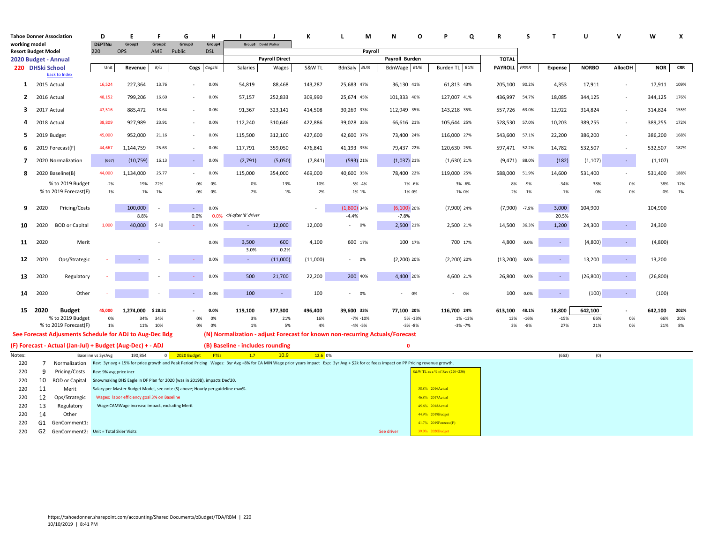| <b>Tahoe Donner Association</b>                    |                  |                                                                                  | D                      | E                                                                              | F              | G                        | н            |                                  |                       | к                   | М<br>L                                                                                                                                                                                                | N                        | O | Q                                         | R                              | S       | $\mathbf{r}$    | U                   | $\mathbf{v}$             | W                   | X            |
|----------------------------------------------------|------------------|----------------------------------------------------------------------------------|------------------------|--------------------------------------------------------------------------------|----------------|--------------------------|--------------|----------------------------------|-----------------------|---------------------|-------------------------------------------------------------------------------------------------------------------------------------------------------------------------------------------------------|--------------------------|---|-------------------------------------------|--------------------------------|---------|-----------------|---------------------|--------------------------|---------------------|--------------|
| working model                                      |                  |                                                                                  | <b>DEPTNu</b>          | Group1                                                                         | Group2         | Group3                   | Group4       | Group5 David Walker              |                       |                     |                                                                                                                                                                                                       |                          |   |                                           |                                |         |                 |                     |                          |                     |              |
| <b>Resort Budget Model</b><br>2020 Budget - Annual |                  |                                                                                  | 220                    | OPS                                                                            | AME            | Public                   | <b>DSL</b>   |                                  | <b>Payroll Direct</b> |                     | Payroll                                                                                                                                                                                               | Payroll Burden           |   |                                           | <b>TOTAL</b>                   |         |                 |                     |                          |                     |              |
|                                                    | 220 DHSki School |                                                                                  | Unit                   | Revenue                                                                        | R/U            | <b>Cogs</b>              | Cogs%        | Salaries                         | Wages                 | S&W TL              | BdnSaly BU%                                                                                                                                                                                           | BdnWage BU%              |   | Burden TL<br>BU%                          | <b>PAYROLL</b>                 | PR%R    | Expense         | <b>NORBO</b>        | <b>AllocOH</b>           | <b>NOR</b>          | <b>CRR</b>   |
|                                                    |                  | back to Index                                                                    |                        |                                                                                |                |                          |              |                                  |                       |                     |                                                                                                                                                                                                       |                          |   |                                           |                                |         |                 |                     |                          |                     |              |
| $\mathbf{1}$                                       | 2015 Actual      |                                                                                  | 16,524                 | 227,364                                                                        | 13.76          |                          | 0.0%         | 54,819                           | 88,468                | 143,287             | 25,683 47%                                                                                                                                                                                            | 36,130 41%               |   | 61,813 43%                                | 205,100 90.2%                  |         | 4,353           | 17,911              | $\overline{\phantom{a}}$ | 17,911              | 109%         |
| $\overline{2}$                                     | 2016 Actual      |                                                                                  | 48,152                 | 799,206                                                                        | 16.60          |                          | 0.0%         | 57,157                           | 252,833               | 309,990             | 25,674 45%                                                                                                                                                                                            | 101,333 40%              |   | 127,007 41%                               | 436,997 54.7%                  |         | 18,085          | 344,125             | $\overline{\phantom{a}}$ | 344,125             | 176%         |
| 3                                                  | 2017 Actual      |                                                                                  | 47,516                 | 885,472                                                                        | 18.64          |                          | 0.0%         | 91,367                           | 323,141               | 414,508             | 30,269 33%                                                                                                                                                                                            | 112,949 35%              |   | 143,218 35%                               | 557,726 63.0%                  |         | 12,922          | 314,824             | $\overline{\phantom{a}}$ | 314,824             | 155%         |
| 4                                                  | 2018 Actual      |                                                                                  | 38,809                 | 927,989                                                                        | 23.91          | $\overline{\phantom{a}}$ | 0.0%         | 112,240                          | 310,646               | 422,886             | 39,028 35%                                                                                                                                                                                            | 66,616 21%               |   | 105,644 25%                               | 528,530 57.0%                  |         | 10,203          | 389,255             | $\sim$                   | 389,255             | 172%         |
| 5                                                  | 2019 Budget      |                                                                                  | 45,000<br>44,667       | 952,000                                                                        | 21.16<br>25.63 | $\sim$                   | 0.0%<br>0.0% | 115,500                          | 312,100               | 427,600             | 42,600 37%<br>41,193 35%                                                                                                                                                                              | 73,400 24%<br>79,437 22% |   | 116,000 27%<br>120,630 25%                | 543,600 57.1%<br>597,471 52.2% |         | 22,200          | 386,200             | $\sim$<br>$\sim$         | 386,200             | 168%<br>187% |
| 6<br>$\overline{7}$                                |                  | 2019 Forecast(F)<br>2020 Normalization                                           | (667)                  | 1,144,759<br>(10, 759)                                                         | 16.13          | $\sim$                   | 0.0%         | 117,791<br>(2,791)               | 359,050<br>(5,050)    | 476,841<br>(7, 841) | (593) 21%                                                                                                                                                                                             | $(1,037)$ 21%            |   | $(1,630)$ 21%                             | $(9,471)$ 88.0%                |         | 14,782<br>(182) | 532,507<br>(1, 107) | $\sim$                   | 532,507<br>(1, 107) |              |
| 8                                                  |                  | 2020 Baseline(B)                                                                 | 44,000                 | 1,134,000                                                                      | 25.77          |                          | 0.0%         | 115,000                          | 354,000               | 469,000             | 40,600 35%                                                                                                                                                                                            | 78,400 22%               |   | 119,000 25%                               | 588,000 51.9%                  |         | 14,600          | 531,400             | $\overline{\phantom{a}}$ | 531,400             | 188%         |
|                                                    |                  | % to 2019 Budget                                                                 | $-2%$                  | 19%                                                                            | 22%            | 0%                       | 0%           | 0%                               | 13%                   | 10%                 | $-5% -4%$                                                                                                                                                                                             | 7% -6%                   |   | 3% -6%                                    | 8%                             | -9%     | $-34%$          | 38%                 | 0%                       | 38%                 | 12%          |
|                                                    |                  | % to 2019 Forecast(F)                                                            | $-1%$                  | $-1%$                                                                          | 1%             | 0%                       | 0%           | $-2%$                            | $-1%$                 | $-2%$               | $-1\% 1\%$                                                                                                                                                                                            | $-1\%$ 0%                |   | $-1\%$ 0%                                 | $-2%$                          | $-1%$   | $-1%$           | 0%                  | 0%                       | 0%                  | 1%           |
| 9                                                  | 2020             | Pricing/Costs                                                                    |                        | 100,000<br>8.8%                                                                |                | 0.0%                     | 0.0%         | 0.0% <% after '8' driver         |                       |                     | $(1,800)$ 34%<br>$-4.4%$                                                                                                                                                                              | $(6,100)$ 20%<br>$-7.8%$ |   | $(7,900)$ 24%                             | (7,900)                        | $-7.9%$ | 3,000<br>20.5%  | 104,900             |                          | 104,900             |              |
| 10                                                 | 2020             | <b>BOD</b> or Capital                                                            | 1,000                  | 40,000                                                                         | \$40           | car.                     | 0.0%         | $\sim$                           | 12,000                | 12,000              | 0%<br>$\sim$                                                                                                                                                                                          | 2,500 21%                |   | 2,500 21%                                 | 14,500 36.3%                   |         | 1,200           | 24,300              | $\sim$                   | 24,300              |              |
| 11                                                 | 2020             | Merit                                                                            |                        |                                                                                |                |                          | 0.0%         | 3.500                            | 600                   | 4,100               | 600 17%                                                                                                                                                                                               | 100 17%                  |   | 700 17%                                   | 4,800                          | 0.0%    | $\sim$          | (4,800)             |                          | (4,800)             |              |
| 12                                                 | 2020             | Ops/Strategic                                                                    |                        |                                                                                |                | $\sim$                   | 0.0%         | 3.0%<br>$\sim$                   | 0.2%<br>(11,000)      | (11,000)            | 0%<br>$\sim$                                                                                                                                                                                          | $(2,200)$ 20%            |   | $(2,200)$ 20%                             | (13, 200)                      | 0.0%    | $\sim$          | 13,200              | $\sim$                   | 13,200              |              |
| 13                                                 | 2020             |                                                                                  |                        |                                                                                |                |                          | 0.0%         | 500                              | 21,700                | 22,200              | 200 40%                                                                                                                                                                                               | 4,400 20%                |   | 4,600 21%                                 | 26,800                         | 0.0%    |                 | (26, 800)           | $\omega$                 | (26, 800)           |              |
|                                                    |                  | Regulatory                                                                       |                        |                                                                                |                |                          |              |                                  |                       |                     |                                                                                                                                                                                                       |                          |   |                                           |                                |         | $\sim$          |                     |                          |                     |              |
| 14                                                 | 2020             | Other                                                                            |                        |                                                                                |                |                          | 0.0%         | 100                              | $\sim$                | 100                 | 0%                                                                                                                                                                                                    | $- 0\%$                  |   | $- 0\%$                                   | 100                            | 0.0%    | $\sim$          | (100)               | $\sim$                   | (100)               |              |
|                                                    | 15 2020          | <b>Budget</b>                                                                    | 45,000                 | 1,274,000                                                                      | \$28.31        |                          | 0.0%         | 119,100                          | 377,300               | 496,400             | 39,600 33%                                                                                                                                                                                            | 77,100 20%               |   | 116,700 24%                               | 613,100                        | 48.1%   | 18,800          | 642,100             | ٠                        | 642,100             | 202%         |
|                                                    |                  | % to 2019 Budget                                                                 | 0%                     | 34%                                                                            | 34%            | 0%                       | 0%           | 3%                               | 21%                   | 16%                 | $-7\% - 10\%$                                                                                                                                                                                         | 5% -13%                  |   | 1% -13%                                   | 13%                            | $-16%$  | $-15%$          | 66%                 | 0%                       | 66%                 | 20%          |
|                                                    |                  | % to 2019 Forecast(F)<br>See Forecast Adjusments Schedule for ADJ to Aug-Dec Bdg | 1%                     | 11%                                                                            | 10%            | 0%                       | 0%           | 1%                               | 5%                    | 4%                  | $-4% -5%$<br>(N) Normalization - adjust Forecast for known non-recurring Actuals/Forecast                                                                                                             | $-3% -8%$                |   | $-3% -7%$                                 | 3%                             | $-8%$   | 27%             | 21%                 | 0%                       | 21%                 | 8%           |
|                                                    |                  | (F) Forecast - Actual (Jan-Jul) + Budget (Aug-Dec) + - ADJ                       |                        |                                                                                |                |                          |              | (B) Baseline - includes rounding |                       |                     |                                                                                                                                                                                                       | $\mathbf{0}$             |   |                                           |                                |         |                 |                     |                          |                     |              |
| Notes:                                             |                  |                                                                                  | Baseline vs 3yrAvg     | 190,854                                                                        | $\overline{0}$ | 2020 Budget              | <b>FTES</b>  | 1.7                              | 10.9 <sub>1</sub>     | 12.6 0%             |                                                                                                                                                                                                       |                          |   |                                           |                                |         | (663)           | (0)                 |                          |                     |              |
| 220                                                | 7                |                                                                                  |                        |                                                                                |                |                          |              |                                  |                       |                     | Normalization Rev: 3yr avg + 15% for price growth and Peak Period Pricing Wages: 3yr Avg +8% for CA MIN Wage prior years impact Exp: 3yr Avg + \$2k for cc feess impact on PP Pricing revenue growth. |                          |   |                                           |                                |         |                 |                     |                          |                     |              |
| 220                                                | 9                | Pricing/Costs                                                                    | Rev: 9% avg price incr |                                                                                |                |                          |              |                                  |                       |                     |                                                                                                                                                                                                       |                          |   | <b>S&amp;W TL as a % of Rev (220+230)</b> |                                |         |                 |                     |                          |                     |              |
| 220                                                | 10               | <b>BOD or Capital</b>                                                            |                        | Snowmaking DHS Eagle in DF Plan for 2020 (was in 2019B), impacts Dec'20.       |                |                          |              |                                  |                       |                     |                                                                                                                                                                                                       |                          |   |                                           |                                |         |                 |                     |                          |                     |              |
| 220                                                | 11               | Merit                                                                            |                        | Salary per Master Budget Model, see note (S) above; Hourly per guideline max%. |                |                          |              |                                  |                       |                     |                                                                                                                                                                                                       |                          |   | 38.8% 2016Actual                          |                                |         |                 |                     |                          |                     |              |
| 220                                                | 12               | Ops/Strategic                                                                    |                        | Wages: labor efficiency goal 3% on Baseline                                    |                |                          |              |                                  |                       |                     |                                                                                                                                                                                                       |                          |   | 46.8% 2017 Actual                         |                                |         |                 |                     |                          |                     |              |
| 220                                                | 13               | Regulatory                                                                       |                        | Wage:CAMWage increase impact, excluding Merit                                  |                |                          |              |                                  |                       |                     |                                                                                                                                                                                                       |                          |   | 45.6% 2018Actual                          |                                |         |                 |                     |                          |                     |              |
| 220                                                | 14               | Other                                                                            |                        |                                                                                |                |                          |              |                                  |                       |                     |                                                                                                                                                                                                       |                          |   | 44.9% 2019Budget                          |                                |         |                 |                     |                          |                     |              |
| 220                                                |                  | G1 GenComment1:                                                                  |                        |                                                                                |                |                          |              |                                  |                       |                     |                                                                                                                                                                                                       |                          |   | 41.7% 2019Forecast(F)                     |                                |         |                 |                     |                          |                     |              |
| 220                                                |                  | G2 GenComment2: Unit = Total Skier Visits                                        |                        |                                                                                |                |                          |              |                                  |                       |                     |                                                                                                                                                                                                       | See driver               |   | 39.0% 2020Budget                          |                                |         |                 |                     |                          |                     |              |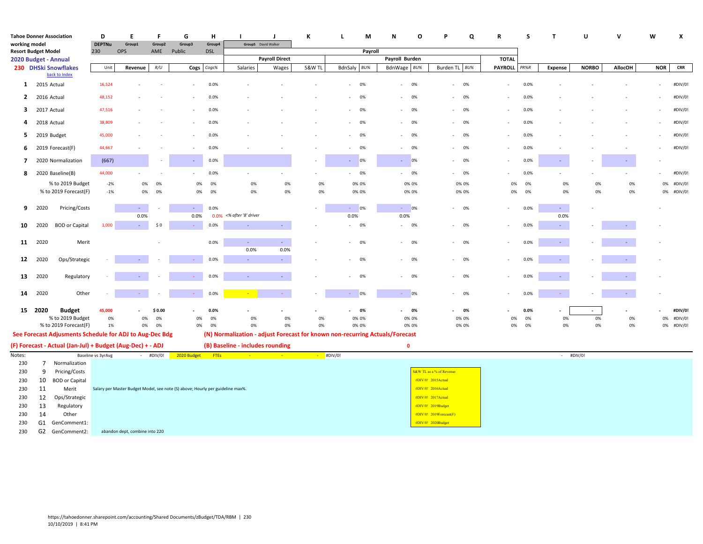| <b>Tahoe Donner Association</b> |                 |                                                            | D                  | Ε                              | F           | G                                                                              | н           |                                  | J                     | К      | $\mathbf{L}$<br>M                                                            | N<br>$\circ$                   | Q<br>p                   | R                            | s<br>$\mathbf{T}$                | U            | v              | W                        | X          |
|---------------------------------|-----------------|------------------------------------------------------------|--------------------|--------------------------------|-------------|--------------------------------------------------------------------------------|-------------|----------------------------------|-----------------------|--------|------------------------------------------------------------------------------|--------------------------------|--------------------------|------------------------------|----------------------------------|--------------|----------------|--------------------------|------------|
| working model                   |                 |                                                            | <b>DEPTNu</b>      | Group1                         | Group2      | Group3                                                                         | Group4      | Group5 David Walker              |                       |        |                                                                              |                                |                          |                              |                                  |              |                |                          |            |
| <b>Resort Budget Model</b>      |                 |                                                            | 230                | <b>OPS</b>                     | AME         | Public                                                                         | <b>DSL</b>  |                                  |                       |        | Payroll                                                                      |                                |                          |                              |                                  |              |                |                          |            |
| 2020 Budget - Annual            |                 | 230 DHSki Snowflakes                                       | Unit               |                                | R/U         |                                                                                | Cogs%       | Salaries                         | <b>Payroll Direct</b> | S&W TL | BdnSaly<br>$BU\%$                                                            | Payroll Burden                 | Burden TL BU%            | <b>TOTAL</b><br>PAYROLL PR%R |                                  | <b>NORBO</b> | <b>AllocOH</b> | <b>NOR</b>               | <b>CRR</b> |
|                                 |                 | back to Index                                              |                    | Revenue                        |             | Cogs                                                                           |             |                                  | Wages                 |        |                                                                              | BdnWage BU%                    |                          |                              | <b>Expense</b>                   |              |                |                          |            |
| $\mathbf{1}$                    | 2015 Actual     |                                                            | 16,524             |                                |             |                                                                                | 0.0%        |                                  |                       |        | 0%<br>$\overline{\phantom{a}}$                                               | 0%<br>$\sim$                   | 0%<br>$\sim$             | $\overline{\phantom{a}}$     | 0.0%                             |              |                | $\overline{\phantom{a}}$ | #DIV/0!    |
| $\overline{2}$                  | 2016 Actual     |                                                            | 48,152             |                                |             |                                                                                | 0.0%        |                                  |                       |        | 0%<br>٠                                                                      | 0%<br>$\overline{\phantom{a}}$ | 0%                       |                              | 0.0%                             |              |                |                          | #DIV/0!    |
| $\mathbf{3}$                    | 2017 Actual     |                                                            | 47,516             |                                |             |                                                                                | 0.0%        |                                  |                       |        | 0%                                                                           | 0%<br>$\sim$                   | 0%                       |                              | 0.0%                             |              |                |                          | #DIV/0!    |
| 4                               | 2018 Actual     |                                                            | 38,809             |                                |             |                                                                                | 0.0%        |                                  |                       |        | 0%<br>ä,                                                                     | 0%                             | 0%                       | $\overline{\phantom{a}}$     | 0.0%                             |              |                |                          | #DIV/0!    |
| 5                               |                 | 2019 Budget                                                | 45,000             |                                |             |                                                                                | 0.0%        |                                  |                       |        | 0%<br>٠                                                                      | 0%<br>$\sim$                   | 0%                       | $\overline{\phantom{a}}$     | 0.0%                             |              |                |                          | #DIV/0!    |
| 6                               |                 | 2019 Forecast(F)                                           | 44,667             |                                |             |                                                                                | 0.0%        |                                  |                       |        | 0%<br>$\bar{a}$                                                              | 0%                             | 0%                       |                              | 0.0%                             |              |                |                          | #DIV/0!    |
| 7                               |                 | 2020 Normalization                                         | (667)              |                                |             | $\sim$                                                                         | 0.0%        |                                  |                       | $\sim$ | 0%<br>$\sim$                                                                 | 0%<br><b>Section</b>           | 0%<br>$\sim$             | $\overline{\phantom{a}}$     | 0.0%<br>$\sim$                   |              | $\sim$         |                          |            |
| 8                               |                 | 2020 Baseline(B)                                           | 44,000             |                                |             |                                                                                | 0.0%        |                                  |                       |        | 0%<br>$\omega$                                                               | 0%<br>$\sim$                   | $- 0\%$                  |                              | 0.0%                             |              |                |                          | #DIV/0!    |
|                                 |                 | % to 2019 Budget                                           | $-2%$              | 0%                             | 0%          | 0%                                                                             | 0%          | 0%                               | 0%                    | 0%     | 0% 0%                                                                        | 0% 0%                          | 0% 0%                    | 0%                           | 0%<br>0%                         | 0%           | 0%             | 0%                       | #DIV/0!    |
|                                 |                 | % to 2019 Forecast(F)                                      | $-1%$              | 0%                             | 0%          | 0%                                                                             | 0%          | 0%                               | 0%                    | 0%     | 0% 0%                                                                        | 0% 0%                          | 0% 0%                    | 0%                           | 0%<br>0%                         | 0%           | 0%             |                          | 0% #DIV/0! |
| 9                               | 2020            | Pricing/Costs                                              |                    | $\sim$                         |             | $\sim$                                                                         | 0.0%        |                                  |                       | $\sim$ | 0%<br>÷.                                                                     | $- 0\%$                        | $- 0\%$                  |                              | 0.0%<br>$\sim$                   |              |                |                          |            |
|                                 |                 |                                                            |                    | 0.0%                           |             | 0.0%                                                                           |             | 0.0% <% after '8' driver         |                       |        | 0.0%                                                                         | 0.0%                           |                          |                              | 0.0%                             |              |                |                          |            |
| 10                              | 2020            | <b>BOD</b> or Capital                                      | 1,000              | $\sim$                         | \$0         | ×.                                                                             | 0.0%        | $\sim$                           | $\sim$                |        | 0%<br>$\bar{a}$                                                              | 0%<br>$\sim$                   | 0%                       | $\overline{\phantom{a}}$     | 0.0%<br>$\sim$                   |              | $\sim$         |                          |            |
| 11                              | 2020            | Merit                                                      |                    |                                |             |                                                                                | 0.0%        | $\sim$                           | $\sim$                |        | 0%<br>$\overline{\phantom{a}}$                                               | 0%                             | 0%                       |                              | 0.0%<br>$\sim$                   |              |                |                          |            |
| 12                              | 2020            | Ops/Strategic                                              |                    |                                |             | $\omega$ .                                                                     | 0.0%        | 0.0%<br>$\sim$                   | 0.0%<br>$\sim$        |        | 0%<br>٠                                                                      | 0%<br>$\sim$                   | $- 0\%$                  | $\overline{\phantom{a}}$     | 0.0%<br>$\sim$                   |              |                |                          |            |
|                                 |                 |                                                            |                    |                                |             |                                                                                |             |                                  |                       |        |                                                                              |                                |                          |                              |                                  |              |                |                          |            |
| 13                              | 2020            | Regulatory                                                 |                    |                                |             |                                                                                | 0.0%        |                                  | $\sim$                |        | 0%                                                                           | 0%<br>$\sim$                   | - 0%                     | $\overline{\phantom{a}}$     | 0.0%<br>$\overline{\phantom{a}}$ |              |                |                          |            |
| 14                              | 2020            | Other                                                      |                    | $\omega_{\rm c}$               |             | $\omega_{\rm{eff}}$                                                            | 0.0%        |                                  | $\sim$ $-$            |        | 0%<br>$\omega_{\rm c}$                                                       | $- 0\%$                        | $- 0\%$                  | $\sim$                       | 0.0%<br>$\sim$                   |              | ٠              |                          |            |
|                                 | 15 2020         | <b>Budget</b>                                              | 45,000             | ٠                              | \$ 0.00     |                                                                                | 0.0%        |                                  | $\sim$                |        | 0%<br>٠                                                                      | 0%                             | $-0\%$                   |                              | 0.0%<br>٠                        | $\sim$       |                |                          | #DIV/0!    |
|                                 |                 | % to 2019 Budget                                           | 0%                 | 0%                             | 0%          | 0%                                                                             | 0%          | 0%                               | 0%                    | 0%     | 0% 0%                                                                        | 0% 0%                          | 0% 0%                    | 0%                           | 0%<br>0%                         | 0%           | 0%             | 0%                       | #DIV/0!    |
|                                 |                 | % to 2019 Forecast(F)                                      | 1%                 | 0%                             | 0%          | 0%                                                                             | 0%          | 0%                               | 0%                    | 0%     | 0% 0%                                                                        | 0% 0%                          | 0% 0%                    | 0%                           | 0%<br>0%                         | 0%           | 0%             |                          | 0% #DIV/0! |
|                                 |                 | See Forecast Adjusments Schedule for ADJ to Aug-Dec Bdg    |                    |                                |             |                                                                                |             |                                  |                       |        | (N) Normalization - adjust Forecast for known non-recurring Actuals/Forecast |                                |                          |                              |                                  |              |                |                          |            |
|                                 |                 | (F) Forecast - Actual (Jan-Jul) + Budget (Aug-Dec) + - ADJ |                    |                                |             |                                                                                |             | (B) Baseline - includes rounding |                       |        |                                                                              | $\mathbf 0$                    |                          |                              |                                  |              |                |                          |            |
| Notes:                          |                 |                                                            | Baseline vs 3yrAvg |                                | $+$ #DIV/0! | 2020 Budget                                                                    | <b>FTES</b> | <b>Page</b>                      | 141                   |        | #DIV/0!                                                                      |                                |                          |                              |                                  | #DIV/0!      |                |                          |            |
| 230                             | $7\overline{ }$ | Normalization                                              |                    |                                |             |                                                                                |             |                                  |                       |        |                                                                              |                                |                          |                              |                                  |              |                |                          |            |
| 230                             | 9               | Pricing/Costs                                              |                    |                                |             |                                                                                |             |                                  |                       |        |                                                                              |                                | S&W TL as a % of Revenue |                              |                                  |              |                |                          |            |
| 230                             | 10              | <b>BOD</b> or Capital                                      |                    |                                |             |                                                                                |             |                                  |                       |        |                                                                              |                                | #DIV/0! 2015Actual       |                              |                                  |              |                |                          |            |
| 230                             | 11              | Merit                                                      |                    |                                |             | Salary per Master Budget Model, see note (S) above; Hourly per guideline max%. |             |                                  |                       |        |                                                                              |                                | #DIV/0! 2016Actual       |                              |                                  |              |                |                          |            |
| 230                             | 12              | Ops/Strategic                                              |                    |                                |             |                                                                                |             |                                  |                       |        |                                                                              |                                | #DIV/0! 2017Actual       |                              |                                  |              |                |                          |            |
| 230                             | 13              | Regulatory                                                 |                    |                                |             |                                                                                |             |                                  |                       |        |                                                                              |                                | #DIV/0! 2019Budget       |                              |                                  |              |                |                          |            |
| 230                             | 14              | Other                                                      |                    |                                |             |                                                                                |             |                                  |                       |        |                                                                              |                                | #DIV/0! 2019Forecast(F)  |                              |                                  |              |                |                          |            |
| 230<br>230                      | G2              | G1 GenComment1:                                            |                    | abandon dept, combine into 220 |             |                                                                                |             |                                  |                       |        |                                                                              |                                | #DIV/0! 2020Budget       |                              |                                  |              |                |                          |            |
|                                 |                 | GenComment2:                                               |                    |                                |             |                                                                                |             |                                  |                       |        |                                                                              |                                |                          |                              |                                  |              |                |                          |            |